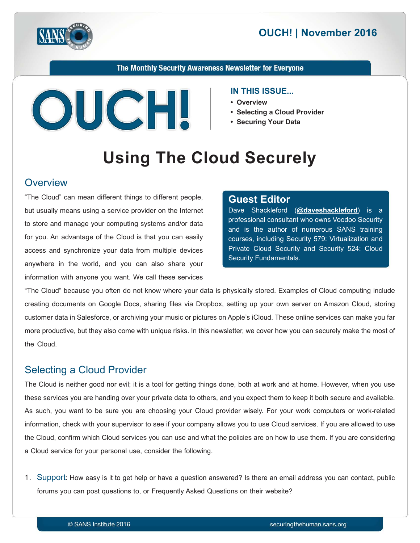



The Monthly Security Awareness Newsletter for Everyone



#### **IN THIS ISSUE...**

- **Overview•**
- Selecting a Cloud Provider
- Securing Your Data

# **Using The Cloud Securely**

#### **Overview**

"The Cloud" can mean different things to different people, but usually means using a service provider on the Internet to store and manage your computing systems and/or data for you. An advantage of the Cloud is that you can easily access and synchronize your data from multiple devices anywhere in the world, and you can also share your information with anyone you want. We call these services

#### **Editor Guest**

Dave Shackleford (@[daveshackleford](https://twitter.com/daveshackleford)) is a professional consultant who owns Voodoo Security and is the author of numerous SANS training courses, including Security 579: Virtualization and Private Cloud Security and Security 524: Cloud Security Fundamentals.

"The Cloud" because you often do not know where your data is physically stored. Examples of Cloud computing include creating documents on Google Docs, sharing files via Dropbox, setting up your own server on Amazon Cloud, storing customer data in Salesforce, or archiving your music or pictures on Apple's iCloud. These online services can make you far more productive, but they also come with unique risks. In this newsletter, we cover how you can securely make the most of the Cloud.

# **Selecting a Cloud Provider**

The Cloud is neither good nor evil; it is a tool for getting things done, both at work and at home. However, when you use these services you are handing over your private data to others, and you expect them to keep it both secure and available. As such, you want to be sure you are choosing your Cloud provider wisely. For your work computers or work-related information, check with your supervisor to see if your company allows you to use Cloud services. If you are allowed to use the Cloud, confirm which Cloud services you can use and what the policies are on how to use them. If you are considering a Cloud service for your personal use, consider the following.

1. Support: How easy is it to get help or have a question answered? Is there an email address you can contact, public forums you can post questions to, or Frequently Asked Questions on their website?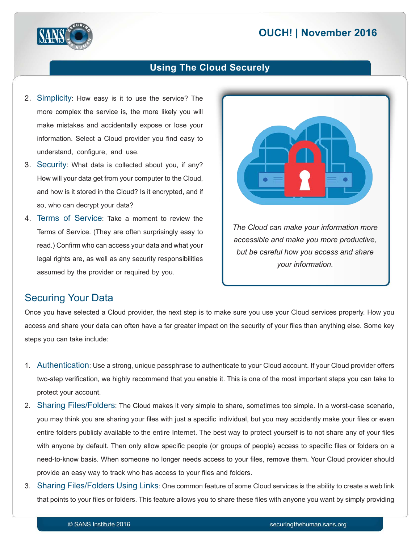# **2016 November 2016**



#### **Using The Cloud Securely**

- 2. Simplicity: How easy is it to use the service? The more complex the service is, the more likely you will make mistakes and accidentally expose or lose your information. Select a Cloud provider you find easy to understand, configure, and use.
- 3. Security: What data is collected about you, if any? How will your data get from your computer to the Cloud, and how is it stored in the Cloud? Is it encrypted, and if so, who can decrypt your data?
- 4. Terms of Service: Take a moment to review the Terms of Service. (They are often surprisingly easy to read.) Confirm who can access your data and what your legal rights are, as well as any security responsibilities assumed by the provider or required by you.



*accessible and make you more productive,* but be careful how you access and share *.information your*

#### **Securing Your Data**

Once you have selected a Cloud provider, the next step is to make sure you use your Cloud services properly. How you access and share your data can often have a far greater impact on the security of your files than anything else. Some key steps you can take include:

- 1. Authentication: Use a strong, unique passphrase to authenticate to your Cloud account. If your Cloud provider offers two-step verification, we highly recommend that you enable it. This is one of the most important steps you can take to protect your account.
- 2. Sharing Files/Folders: The Cloud makes it very simple to share, sometimes too simple. In a worst-case scenario, you may think you are sharing your files with just a specific individual, but you may accidently make your files or even entire folders publicly available to the entire Internet. The best way to protect yourself is to not share any of your files with anyone by default. Then only allow specific people (or groups of people) access to specific files or folders on a need-to-know basis. When someone no longer needs access to your files, remove them. Your Cloud provider should provide an easy way to track who has access to your files and folders.
- 3. Sharing Files/Folders Using Links: One common feature of some Cloud services is the ability to create a web link that points to your files or folders. This feature allows you to share these files with anyone you want by simply providing